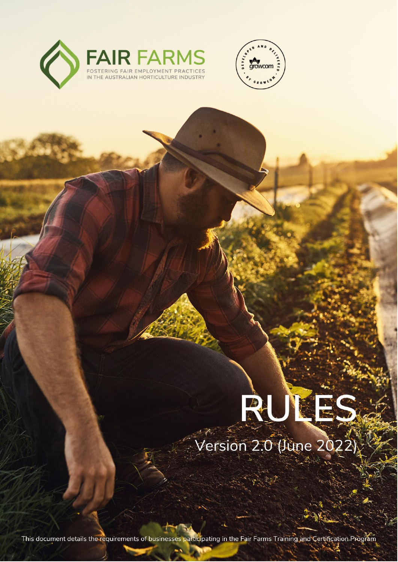



# RUKES Version 2.0 (June 2022

This document details the requirements of businesses participating in the Fair Farms Training and Certification Program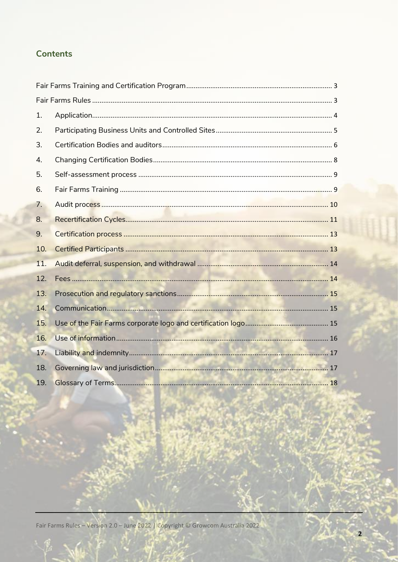# **Contents**

| 1.  |  |
|-----|--|
| 2.  |  |
| 3.  |  |
| 4.  |  |
| 5.  |  |
| 6.  |  |
| 7.  |  |
| 8.  |  |
| 9.  |  |
| 10. |  |
| 11. |  |
| 12. |  |
| 13. |  |
| 14. |  |
| 15. |  |
| 16. |  |
| 17. |  |
| 18. |  |
| 19. |  |

Fair Farms Rules - Version 2.0 - June 2022 | Copyright © Growcom Australia 2022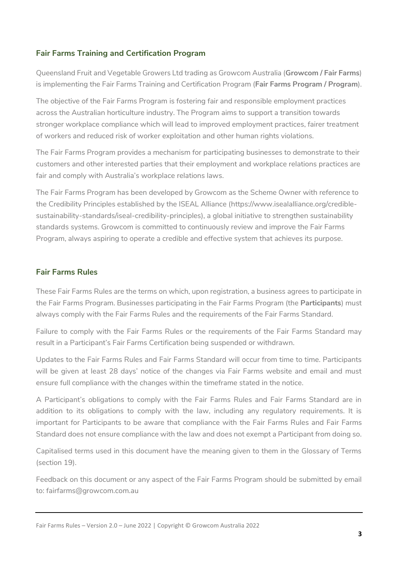# <span id="page-2-0"></span>**Fair Farms Training and Certification Program**

Queensland Fruit and Vegetable Growers Ltd trading as Growcom Australia (**Growcom / Fair Farms**) is implementing the Fair Farms Training and Certification Program (**Fair Farms Program / Program**).

The objective of the Fair Farms Program is fostering fair and responsible employment practices across the Australian horticulture industry. The Program aims to support a transition towards stronger workplace compliance which will lead to improved employment practices, fairer treatment of workers and reduced risk of worker exploitation and other human rights violations.

The Fair Farms Program provides a mechanism for participating businesses to demonstrate to their customers and other interested parties that their employment and workplace relations practices are fair and comply with Australia's workplace relations laws.

The Fair Farms Program has been developed by Growcom as the Scheme Owner with reference to the Credibility Principles established by the ISEAL Alliance [\(https://www.isealalliance.org/credible](https://www.isealalliance.org/credible-sustainability-standards/iseal-credibility-principles)[sustainability-standards/iseal-credibility-principles\)](https://www.isealalliance.org/credible-sustainability-standards/iseal-credibility-principles), a global initiative to strengthen sustainability standards systems. Growcom is committed to continuously review and improve the Fair Farms Program, always aspiring to operate a credible and effective system that achieves its purpose.

# <span id="page-2-1"></span>**Fair Farms Rules**

These Fair Farms Rules are the terms on which, upon registration, a business agrees to participate in the Fair Farms Program. Businesses participating in the Fair Farms Program (the **Participants**) must always comply with the Fair Farms Rules and the requirements of the Fair Farms Standard.

Failure to comply with the Fair Farms Rules or the requirements of the Fair Farms Standard may result in a Participant's Fair Farms Certification being suspended or withdrawn.

Updates to the Fair Farms Rules and Fair Farms Standard will occur from time to time. Participants will be given at least 28 days' notice of the changes via Fair Farms website and email and must ensure full compliance with the changes within the timeframe stated in the notice.

A Participant's obligations to comply with the Fair Farms Rules and Fair Farms Standard are in addition to its obligations to comply with the law, including any regulatory requirements. It is important for Participants to be aware that compliance with the Fair Farms Rules and Fair Farms Standard does not ensure compliance with the law and does not exempt a Participant from doing so.

Capitalised terms used in this document have the meaning given to them in the Glossary of Terms (section 19).

Feedback on this document or any aspect of the Fair Farms Program should be submitted by email to: [fairfarms@growcom.com.au](mailto:fairfarms@growcom.com.au)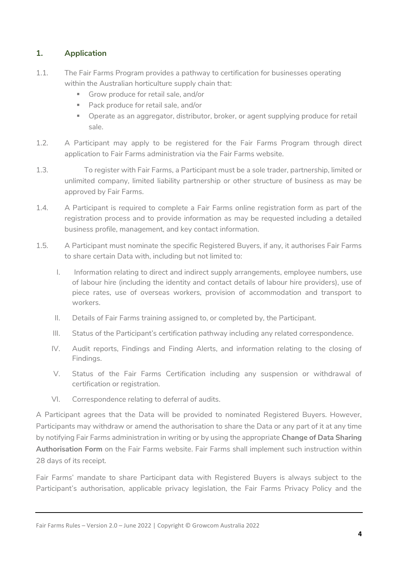# <span id="page-3-0"></span>**1. Application**

- 1.1. The Fair Farms Program provides a pathway to certification for businesses operating within the Australian horticulture supply chain that:
	- **■** Grow produce for retail sale, and/or
	- Pack produce for retail sale, and/or
	- **•** Operate as an aggregator, distributor, broker, or agent supplying produce for retail sale.
- 1.2. A Participant may apply to be registered for the Fair Farms Program through direct application to Fair Farms administration via the Fair Farms website.
- 1.3. To register with Fair Farms, a Participant must be a sole trader, partnership, limited or unlimited company, limited liability partnership or other structure of business as may be approved by Fair Farms.
- 1.4. A Participant is required to complete a Fair Farms online registration form as part of the registration process and to provide information as may be requested including a detailed business profile, management, and key contact information.
- 1.5. A Participant must nominate the specific Registered Buyers, if any, it authorises Fair Farms to share certain Data with, including but not limited to:
	- I. Information relating to direct and indirect supply arrangements, employee numbers, use of labour hire (including the identity and contact details of labour hire providers), use of piece rates, use of overseas workers, provision of accommodation and transport to workers.
	- II. Details of Fair Farms training assigned to, or completed by, the Participant.
	- III. Status of the Participant's certification pathway including any related correspondence.
	- IV. Audit reports, Findings and Finding Alerts, and information relating to the closing of Findings.
	- V. Status of the Fair Farms Certification including any suspension or withdrawal of certification or registration.
	- VI. Correspondence relating to deferral of audits.

A Participant agrees that the Data will be provided to nominated Registered Buyers. However, Participants may withdraw or amend the authorisation to share the Data or any part of it at any time by notifying Fair Farms administration in writing or by using the appropriate **Change of Data Sharing Authorisation Form** on the Fair Farms website. Fair Farms shall implement such instruction within 28 days of its receipt.

Fair Farms' mandate to share Participant data with Registered Buyers is always subject to the Participant's authorisation, applicable privacy legislation, the Fair Farms Privacy Policy and the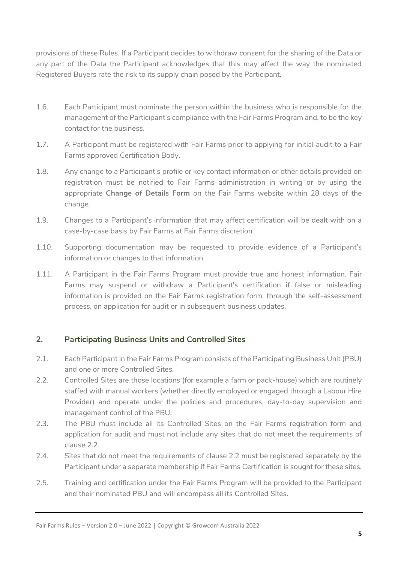provisions of these Rules. If a Participant decides to withdraw consent for the sharing of the Data or any part of the Data the Participant acknowledges that this may affect the way the nominated Registered Buyers rate the risk to its supply chain posed by the Participant.

- 1.6. Each Participant must nominate the person within the business who is responsible for the management of the Participant's compliance with the Fair Farms Program and, to be the key contact for the business.
- 1.7. A Participant must be registered with Fair Farms prior to applying for initial audit to a Fair Farms approved Certification Body.
- 1.8. Any change to a Participant's profile or key contact information or other details provided on registration must be notified to Fair Farms administration in writing or by using the appropriate **Change of Details Form** on the Fair Farms website within 28 days of the change.
- 1.9. Changes to a Participant's information that may affect certification will be dealt with on a case-by-case basis by Fair Farms at Fair Farms discretion.
- 1.10. Supporting documentation may be requested to provide evidence of a Participant's information or changes to that information.
- 1.11. A Participant in the Fair Farms Program must provide true and honest information. Fair Farms may suspend or withdraw a Participant's certification if false or misleading information is provided on the Fair Farms registration form, through the self-assessment process, on application for audit or in subsequent business updates.

# <span id="page-4-0"></span>**2. Participating Business Units and Controlled Sites**

- 2.1. Each Participant in the Fair Farms Program consists of the Participating Business Unit (PBU) and one or more Controlled Sites.
- 2.2. Controlled Sites are those locations (for example a farm or pack-house) which are routinely staffed with manual workers (whether directly employed or engaged through a Labour Hire Provider) and operate under the policies and procedures, day-to-day supervision and management control of the PBU.
- 2.3. The PBU must include all its Controlled Sites on the Fair Farms registration form and application for audit and must not include any sites that do not meet the requirements of clause 2.2.
- 2.4. Sites that do not meet the requirements of clause 2.2 must be registered separately by the Participant under a separate membership if Fair Farms Certification is sought for these sites.
- 2.5. Training and certification under the Fair Farms Program will be provided to the Participant and their nominated PBU and will encompass all its Controlled Sites.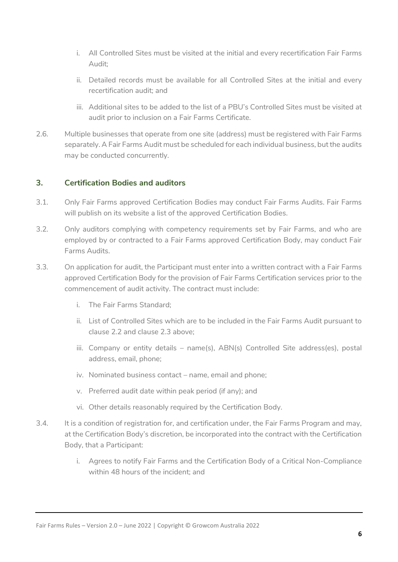- i. All Controlled Sites must be visited at the initial and every recertification Fair Farms Audit;
- ii. Detailed records must be available for all Controlled Sites at the initial and every recertification audit; and
- iii. Additional sites to be added to the list of a PBU's Controlled Sites must be visited at audit prior to inclusion on a Fair Farms Certificate.
- 2.6. Multiple businesses that operate from one site (address) must be registered with Fair Farms separately. A Fair Farms Audit must be scheduled for each individual business, but the audits may be conducted concurrently.

# <span id="page-5-0"></span>**3. Certification Bodies and auditors**

- 3.1. Only Fair Farms approved Certification Bodies may conduct Fair Farms Audits. Fair Farms will publish on its website a list of the approved Certification Bodies.
- 3.2. Only auditors complying with competency requirements set by Fair Farms, and who are employed by or contracted to a Fair Farms approved Certification Body, may conduct Fair Farms Audits.
- 3.3. On application for audit, the Participant must enter into a written contract with a Fair Farms approved Certification Body for the provision of Fair Farms Certification services prior to the commencement of audit activity. The contract must include:
	- i. The Fair Farms Standard;
	- ii. List of Controlled Sites which are to be included in the Fair Farms Audit pursuant to clause 2.2 and clause 2.3 above;
	- iii. Company or entity details name(s), ABN(s) Controlled Site address(es), postal address, email, phone;
	- iv. Nominated business contact name, email and phone;
	- v. Preferred audit date within peak period (if any); and
	- vi. Other details reasonably required by the Certification Body.
- 3.4. It is a condition of registration for, and certification under, the Fair Farms Program and may, at the Certification Body's discretion, be incorporated into the contract with the Certification Body, that a Participant:
	- i. Agrees to notify Fair Farms and the Certification Body of a Critical Non-Compliance within 48 hours of the incident; and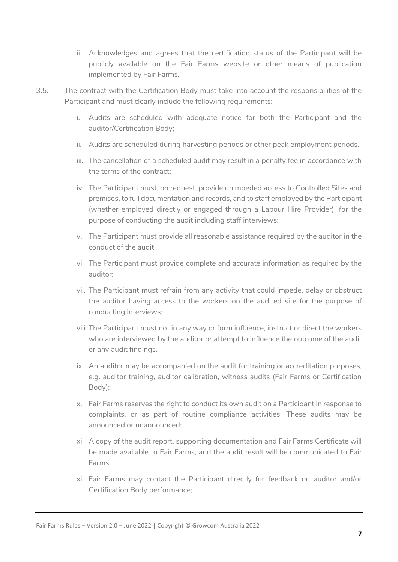- ii. Acknowledges and agrees that the certification status of the Participant will be publicly available on the Fair Farms website or other means of publication implemented by Fair Farms.
- 3.5. The contract with the Certification Body must take into account the responsibilities of the Participant and must clearly include the following requirements:
	- i. Audits are scheduled with adequate notice for both the Participant and the auditor/Certification Body;
	- ii. Audits are scheduled during harvesting periods or other peak employment periods.
	- iii. The cancellation of a scheduled audit may result in a penalty fee in accordance with the terms of the contract;
	- iv. The Participant must, on request, provide unimpeded access to Controlled Sites and premises, to full documentation and records, and to staff employed by the Participant (whether employed directly or engaged through a Labour Hire Provider), for the purpose of conducting the audit including staff interviews;
	- v. The Participant must provide all reasonable assistance required by the auditor in the conduct of the audit;
	- vi. The Participant must provide complete and accurate information as required by the auditor;
	- vii. The Participant must refrain from any activity that could impede, delay or obstruct the auditor having access to the workers on the audited site for the purpose of conducting interviews;
	- viii. The Participant must not in any way or form influence, instruct or direct the workers who are interviewed by the auditor or attempt to influence the outcome of the audit or any audit findings.
	- ix. An auditor may be accompanied on the audit for training or accreditation purposes, e.g. auditor training, auditor calibration, witness audits (Fair Farms or Certification Body);
	- x. Fair Farms reserves the right to conduct its own audit on a Participant in response to complaints, or as part of routine compliance activities. These audits may be announced or unannounced;
	- xi. A copy of the audit report, supporting documentation and Fair Farms Certificate will be made available to Fair Farms, and the audit result will be communicated to Fair Farms;
	- xii. Fair Farms may contact the Participant directly for feedback on auditor and/or Certification Body performance;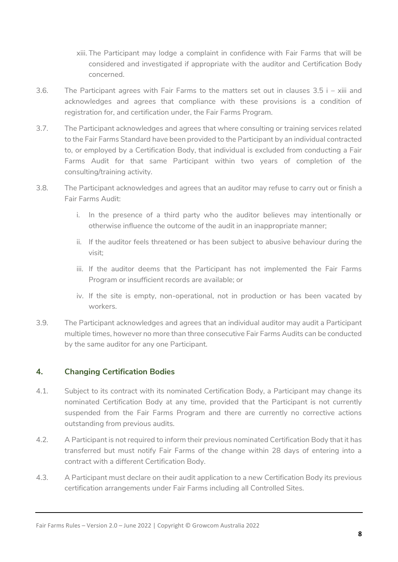- xiii. The Participant may lodge a complaint in confidence with Fair Farms that will be considered and investigated if appropriate with the auditor and Certification Body concerned.
- 3.6. The Participant agrees with Fair Farms to the matters set out in clauses 3.5 i xiii and acknowledges and agrees that compliance with these provisions is a condition of registration for, and certification under, the Fair Farms Program.
- 3.7. The Participant acknowledges and agrees that where consulting or training services related to the Fair Farms Standard have been provided to the Participant by an individual contracted to, or employed by a Certification Body, that individual is excluded from conducting a Fair Farms Audit for that same Participant within two years of completion of the consulting/training activity.
- 3.8. The Participant acknowledges and agrees that an auditor may refuse to carry out or finish a Fair Farms Audit:
	- i. In the presence of a third party who the auditor believes may intentionally or otherwise influence the outcome of the audit in an inappropriate manner;
	- ii. If the auditor feels threatened or has been subject to abusive behaviour during the visit;
	- iii. If the auditor deems that the Participant has not implemented the Fair Farms Program or insufficient records are available; or
	- iv. If the site is empty, non-operational, not in production or has been vacated by workers.
- 3.9. The Participant acknowledges and agrees that an individual auditor may audit a Participant multiple times, however no more than three consecutive Fair Farms Audits can be conducted by the same auditor for any one Participant.

# <span id="page-7-0"></span>**4. Changing Certification Bodies**

- 4.1. Subject to its contract with its nominated Certification Body, a Participant may change its nominated Certification Body at any time, provided that the Participant is not currently suspended from the Fair Farms Program and there are currently no corrective actions outstanding from previous audits.
- 4.2. A Participant is not required to inform their previous nominated Certification Body that it has transferred but must notify Fair Farms of the change within 28 days of entering into a contract with a different Certification Body.
- 4.3. A Participant must declare on their audit application to a new Certification Body its previous certification arrangements under Fair Farms including all Controlled Sites.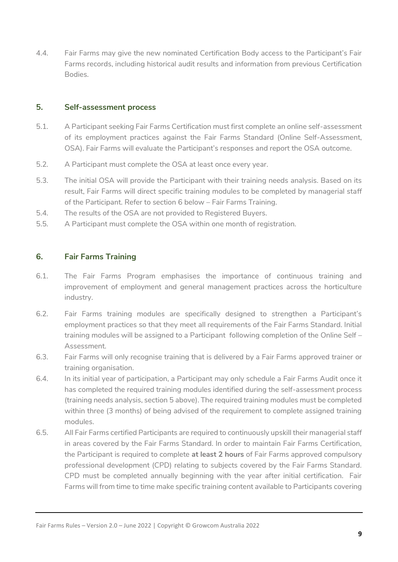4.4. Fair Farms may give the new nominated Certification Body access to the Participant's Fair Farms records, including historical audit results and information from previous Certification Bodies.

# <span id="page-8-0"></span>**5. Self-assessment process**

- 5.1. A Participant seeking Fair Farms Certification must first complete an online self-assessment of its employment practices against the Fair Farms Standard (Online Self-Assessment, OSA). Fair Farms will evaluate the Participant's responses and report the OSA outcome.
- 5.2. A Participant must complete the OSA at least once every year.
- 5.3. The initial OSA will provide the Participant with their training needs analysis. Based on its result, Fair Farms will direct specific training modules to be completed by managerial staff of the Participant. Refer to section 6 below – Fair Farms Training.
- 5.4. The results of the OSA are not provided to Registered Buyers.
- 5.5. A Participant must complete the OSA within one month of registration.

# <span id="page-8-1"></span>**6. Fair Farms Training**

- 6.1. The Fair Farms Program emphasises the importance of continuous training and improvement of employment and general management practices across the horticulture industry.
- 6.2. Fair Farms training modules are specifically designed to strengthen a Participant's employment practices so that they meet all requirements of the Fair Farms Standard. Initial training modules will be assigned to a Participant following completion of the Online Self – Assessment.
- 6.3. Fair Farms will only recognise training that is delivered by a Fair Farms approved trainer or training organisation.
- 6.4. In its initial year of participation, a Participant may only schedule a Fair Farms Audit once it has completed the required training modules identified during the self-assessment process (training needs analysis, section 5 above). The required training modules must be completed within three (3 months) of being advised of the requirement to complete assigned training modules.
- 6.5. All Fair Farms certified Participants are required to continuously upskill their managerial staff in areas covered by the Fair Farms Standard. In order to maintain Fair Farms Certification, the Participant is required to complete **at least 2 hours** of Fair Farms approved compulsory professional development (CPD) relating to subjects covered by the Fair Farms Standard. CPD must be completed annually beginning with the year after initial certification. Fair Farms will from time to time make specific training content available to Participants covering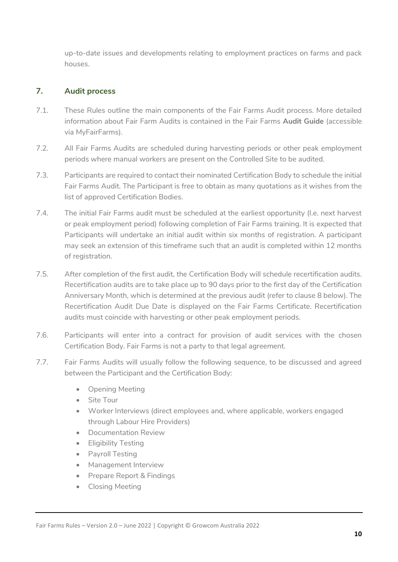up-to-date issues and developments relating to employment practices on farms and pack houses.

# <span id="page-9-0"></span>**7. Audit process**

- 7.1. These Rules outline the main components of the Fair Farms Audit process. More detailed information about Fair Farm Audits is contained in the Fair Farms **Audit Guide** (accessible via MyFairFarms).
- 7.2. All Fair Farms Audits are scheduled during harvesting periods or other peak employment periods where manual workers are present on the Controlled Site to be audited.
- 7.3. Participants are required to contact their nominated Certification Body to schedule the initial Fair Farms Audit. The Participant is free to obtain as many quotations as it wishes from the list of approved Certification Bodies.
- 7.4. The initial Fair Farms audit must be scheduled at the earliest opportunity (I.e. next harvest or peak employment period) following completion of Fair Farms training. It is expected that Participants will undertake an initial audit within six months of registration. A participant may seek an extension of this timeframe such that an audit is completed within 12 months of registration.
- 7.5. After completion of the first audit, the Certification Body will schedule recertification audits. Recertification audits are to take place up to 90 days prior to the first day of the Certification Anniversary Month, which is determined at the previous audit (refer to clause 8 below). The Recertification Audit Due Date is displayed on the Fair Farms Certificate. Recertification audits must coincide with harvesting or other peak employment periods.
- 7.6. Participants will enter into a contract for provision of audit services with the chosen Certification Body. Fair Farms is not a party to that legal agreement.
- 7.7. Fair Farms Audits will usually follow the following sequence, to be discussed and agreed between the Participant and the Certification Body:
	- Opening Meeting
	- Site Tour
	- Worker Interviews (direct employees and, where applicable, workers engaged through Labour Hire Providers)
	- Documentation Review
	- Eligibility Testing
	- Payroll Testing
	- Management Interview
	- Prepare Report & Findings
	- Closing Meeting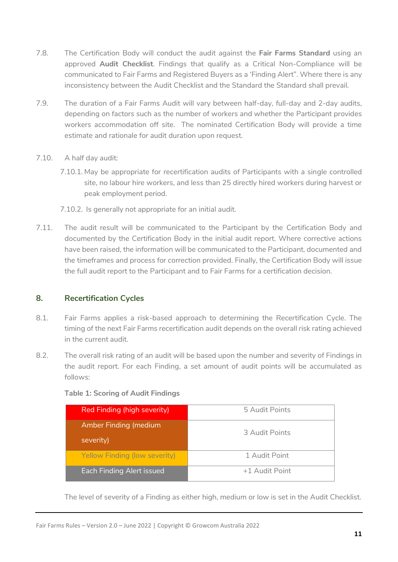- 7.8. The Certification Body will conduct the audit against the **Fair Farms Standard** using an approved **Audit Checklist**. Findings that qualify as a Critical Non-Compliance will be communicated to Fair Farms and Registered Buyers as a 'Finding Alert". Where there is any inconsistency between the Audit Checklist and the Standard the Standard shall prevail.
- 7.9. The duration of a Fair Farms Audit will vary between half-day, full-day and 2-day audits, depending on factors such as the number of workers and whether the Participant provides workers accommodation off site. The nominated Certification Body will provide a time estimate and rationale for audit duration upon request.
- 7.10. A half day audit:
	- 7.10.1. May be appropriate for recertification audits of Participants with a single controlled site, no labour hire workers, and less than 25 directly hired workers during harvest or peak employment period.
	- 7.10.2. Is generally not appropriate for an initial audit.
- 7.11. The audit result will be communicated to the Participant by the Certification Body and documented by the Certification Body in the initial audit report. Where corrective actions have been raised, the information will be communicated to the Participant, documented and the timeframes and process for correction provided. Finally, the Certification Body will issue the full audit report to the Participant and to Fair Farms for a certification decision.

# <span id="page-10-0"></span>**8. Recertification Cycles**

- 8.1. Fair Farms applies a risk-based approach to determining the Recertification Cycle. The timing of the next Fair Farms recertification audit depends on the overall risk rating achieved in the current audit.
- 8.2. The overall risk rating of an audit will be based upon the number and severity of Findings in the audit report. For each Finding, a set amount of audit points will be accumulated as follows:

| <b>Table 1: Scoring of Audit Findings</b> |  |  |  |
|-------------------------------------------|--|--|--|
|-------------------------------------------|--|--|--|

| Red Finding (high severity)               | 5 Audit Points |
|-------------------------------------------|----------------|
| <b>Amber Finding (medium</b><br>severity) | 3 Audit Points |
| Yellow Finding (low severity)             | 1 Audit Point  |
| Each Finding Alert issued                 | +1 Audit Point |

The level of severity of a Finding as either high, medium or low is set in the Audit Checklist.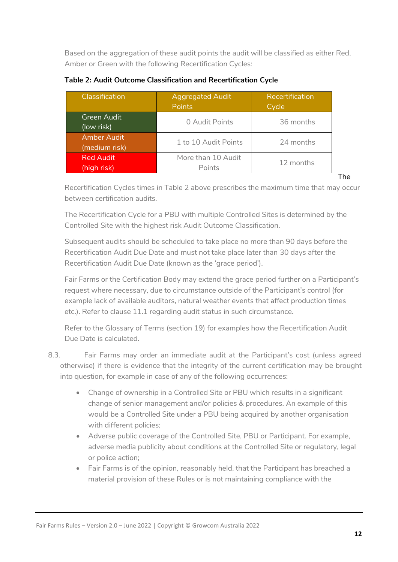Based on the aggregation of these audit points the audit will be classified as either Red, Amber or Green with the following Recertification Cycles:

| Classification                      | <b>Aggregated Audit</b><br><b>Points</b> | Recertification<br>Cycle |
|-------------------------------------|------------------------------------------|--------------------------|
| Green Audit<br>(low risk)           | 0 Audit Points                           | 36 months                |
| <b>Amber Audit</b><br>(medium risk) | 1 to 10 Audit Points                     | 24 months                |
| <b>Red Audit</b><br>(high risk)     | More than 10 Audit<br>Points             | 12 months                |

**Table 2: Audit Outcome Classification and Recertification Cycle**

Recertification Cycles times in Table 2 above prescribes the maximum time that may occur between certification audits.

The Recertification Cycle for a PBU with multiple Controlled Sites is determined by the Controlled Site with the highest risk Audit Outcome Classification.

Subsequent audits should be scheduled to take place no more than 90 days before the Recertification Audit Due Date and must not take place later than 30 days after the Recertification Audit Due Date (known as the 'grace period').

Fair Farms or the Certification Body may extend the grace period further on a Participant's request where necessary, due to circumstance outside of the Participant's control (for example lack of available auditors, natural weather events that affect production times etc.). Refer to clause 11.1 regarding audit status in such circumstance.

Refer to the Glossary of Terms (section 19) for examples how the Recertification Audit Due Date is calculated.

8.3. Fair Farms may order an immediate audit at the Participant's cost (unless agreed otherwise) if there is evidence that the integrity of the current certification may be brought into question, for example in case of any of the following occurrences:

- Change of ownership in a Controlled Site or PBU which results in a significant change of senior management and/or policies & procedures. An example of this would be a Controlled Site under a PBU being acquired by another organisation with different policies;
- Adverse public coverage of the Controlled Site, PBU or Participant. For example, adverse media publicity about conditions at the Controlled Site or regulatory, legal or police action;
- Fair Farms is of the opinion, reasonably held, that the Participant has breached a material provision of these Rules or is not maintaining compliance with the

The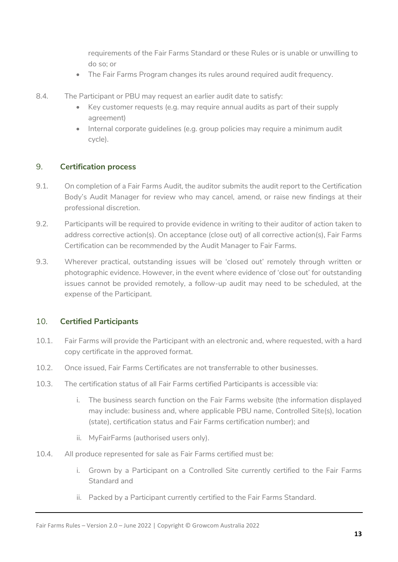requirements of the Fair Farms Standard or these Rules or is unable or unwilling to do so; or

- The Fair Farms Program changes its rules around required audit frequency.
- 8.4. The Participant or PBU may request an earlier audit date to satisfy:
	- Key customer requests (e.g. may require annual audits as part of their supply agreement)
	- Internal corporate guidelines (e.g. group policies may require a minimum audit cycle).

#### <span id="page-12-0"></span>9. **Certification process**

- 9.1. On completion of a Fair Farms Audit, the auditor submits the audit report to the Certification Body's Audit Manager for review who may cancel, amend, or raise new findings at their professional discretion.
- 9.2. Participants will be required to provide evidence in writing to their auditor of action taken to address corrective action(s). On acceptance (close out) of all corrective action(s), Fair Farms Certification can be recommended by the Audit Manager to Fair Farms.
- 9.3. Wherever practical, outstanding issues will be 'closed out' remotely through written or photographic evidence. However, in the event where evidence of 'close out' for outstanding issues cannot be provided remotely, a follow-up audit may need to be scheduled, at the expense of the Participant.

# <span id="page-12-1"></span>10. **Certified Participants**

- 10.1. Fair Farms will provide the Participant with an electronic and, where requested, with a hard copy certificate in the approved format.
- 10.2. Once issued, Fair Farms Certificates are not transferrable to other businesses.
- 10.3. The certification status of all Fair Farms certified Participants is accessible via:
	- i. The business search function on the Fair Farms website (the information displayed may include: business and, where applicable PBU name, Controlled Site(s), location (state), certification status and Fair Farms certification number); and
	- ii. MyFairFarms (authorised users only).
- 10.4. All produce represented for sale as Fair Farms certified must be:
	- i. Grown by a Participant on a Controlled Site currently certified to the Fair Farms Standard and
	- ii. Packed by a Participant currently certified to the Fair Farms Standard.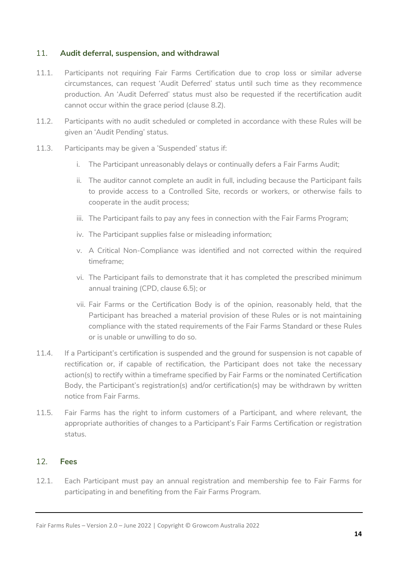# <span id="page-13-0"></span>11. **Audit deferral, suspension, and withdrawal**

- 11.1. Participants not requiring Fair Farms Certification due to crop loss or similar adverse circumstances, can request 'Audit Deferred' status until such time as they recommence production. An 'Audit Deferred' status must also be requested if the recertification audit cannot occur within the grace period (clause 8.2).
- 11.2. Participants with no audit scheduled or completed in accordance with these Rules will be given an 'Audit Pending' status.
- 11.3. Participants may be given a 'Suspended' status if:
	- i. The Participant unreasonably delays or continually defers a Fair Farms Audit;
	- ii. The auditor cannot complete an audit in full, including because the Participant fails to provide access to a Controlled Site, records or workers, or otherwise fails to cooperate in the audit process;
	- iii. The Participant fails to pay any fees in connection with the Fair Farms Program;
	- iv. The Participant supplies false or misleading information;
	- v. A Critical Non-Compliance was identified and not corrected within the required timeframe;
	- vi. The Participant fails to demonstrate that it has completed the prescribed minimum annual training (CPD, clause 6.5); or
	- vii. Fair Farms or the Certification Body is of the opinion, reasonably held, that the Participant has breached a material provision of these Rules or is not maintaining compliance with the stated requirements of the Fair Farms Standard or these Rules or is unable or unwilling to do so.
- 11.4. If a Participant's certification is suspended and the ground for suspension is not capable of rectification or, if capable of rectification, the Participant does not take the necessary action(s) to rectify within a timeframe specified by Fair Farms or the nominated Certification Body, the Participant's registration(s) and/or certification(s) may be withdrawn by written notice from Fair Farms.
- 11.5. Fair Farms has the right to inform customers of a Participant, and where relevant, the appropriate authorities of changes to a Participant's Fair Farms Certification or registration status.

# <span id="page-13-1"></span>12. **Fees**

12.1. Each Participant must pay an annual registration and membership fee to Fair Farms for participating in and benefiting from the Fair Farms Program.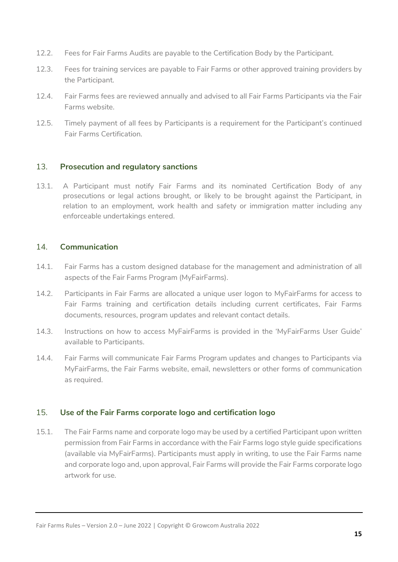- 12.2. Fees for Fair Farms Audits are payable to the Certification Body by the Participant.
- 12.3. Fees for training services are payable to Fair Farms or other approved training providers by the Participant.
- 12.4. Fair Farms fees are reviewed annually and advised to all Fair Farms Participants via the Fair Farms website.
- 12.5. Timely payment of all fees by Participants is a requirement for the Participant's continued Fair Farms Certification.

#### <span id="page-14-0"></span>13. **Prosecution and regulatory sanctions**

13.1. A Participant must notify Fair Farms and its nominated Certification Body of any prosecutions or legal actions brought, or likely to be brought against the Participant, in relation to an employment, work health and safety or immigration matter including any enforceable undertakings entered.

# <span id="page-14-1"></span>14. **Communication**

- 14.1. Fair Farms has a custom designed database for the management and administration of all aspects of the Fair Farms Program (MyFairFarms).
- 14.2. Participants in Fair Farms are allocated a unique user logon to MyFairFarms for access to Fair Farms training and certification details including current certificates, Fair Farms documents, resources, program updates and relevant contact details.
- 14.3. Instructions on how to access MyFairFarms is provided in the 'MyFairFarms User Guide' available to Participants.
- 14.4. Fair Farms will communicate Fair Farms Program updates and changes to Participants via MyFairFarms, the Fair Farms website, email, newsletters or other forms of communication as required.

# <span id="page-14-2"></span>15. **Use of the Fair Farms corporate logo and certification logo**

15.1. The Fair Farms name and corporate logo may be used by a certified Participant upon written permission from Fair Farms in accordance with the Fair Farms logo style guide specifications (available via MyFairFarms). Participants must apply in writing, to use the Fair Farms name and corporate logo and, upon approval, Fair Farms will provide the Fair Farms corporate logo artwork for use.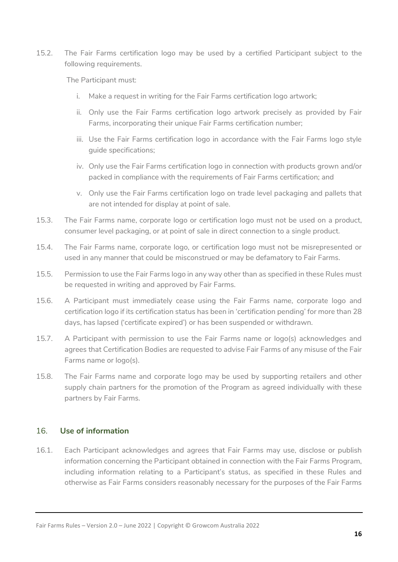15.2. The Fair Farms certification logo may be used by a certified Participant subject to the following requirements.

The Participant must:

- i. Make a request in writing for the Fair Farms certification logo artwork;
- ii. Only use the Fair Farms certification logo artwork precisely as provided by Fair Farms, incorporating their unique Fair Farms certification number;
- iii. Use the Fair Farms certification logo in accordance with the Fair Farms logo style guide specifications;
- iv. Only use the Fair Farms certification logo in connection with products grown and/or packed in compliance with the requirements of Fair Farms certification; and
- v. Only use the Fair Farms certification logo on trade level packaging and pallets that are not intended for display at point of sale.
- 15.3. The Fair Farms name, corporate logo or certification logo must not be used on a product, consumer level packaging, or at point of sale in direct connection to a single product.
- 15.4. The Fair Farms name, corporate logo, or certification logo must not be misrepresented or used in any manner that could be misconstrued or may be defamatory to Fair Farms.
- 15.5. Permission to use the Fair Farms logo in any way other than as specified in these Rules must be requested in writing and approved by Fair Farms.
- 15.6. A Participant must immediately cease using the Fair Farms name, corporate logo and certification logo if its certification status has been in 'certification pending' for more than 28 days, has lapsed ('certificate expired') or has been suspended or withdrawn.
- 15.7. A Participant with permission to use the Fair Farms name or logo(s) acknowledges and agrees that Certification Bodies are requested to advise Fair Farms of any misuse of the Fair Farms name or logo(s).
- 15.8. The Fair Farms name and corporate logo may be used by supporting retailers and other supply chain partners for the promotion of the Program as agreed individually with these partners by Fair Farms.

# <span id="page-15-0"></span>16. **Use of information**

16.1. Each Participant acknowledges and agrees that Fair Farms may use, disclose or publish information concerning the Participant obtained in connection with the Fair Farms Program, including information relating to a Participant's status, as specified in these Rules and otherwise as Fair Farms considers reasonably necessary for the purposes of the Fair Farms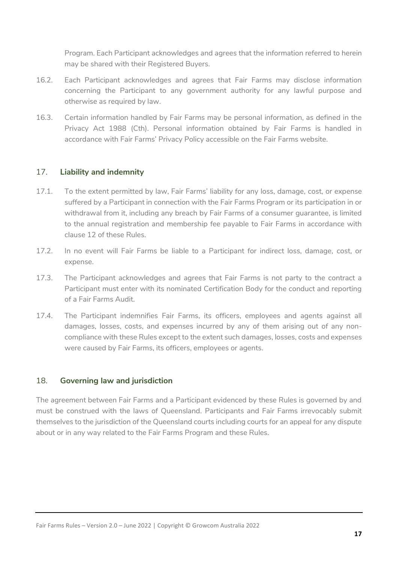Program. Each Participant acknowledges and agrees that the information referred to herein may be shared with their Registered Buyers.

- 16.2. Each Participant acknowledges and agrees that Fair Farms may disclose information concerning the Participant to any government authority for any lawful purpose and otherwise as required by law.
- 16.3. Certain information handled by Fair Farms may be personal information, as defined in the Privacy Act 1988 (Cth). Personal information obtained by Fair Farms is handled in accordance with Fair Farms' Privacy Policy accessible on the Fair Farms website.

# <span id="page-16-0"></span>17. **Liability and indemnity**

- 17.1. To the extent permitted by law, Fair Farms' liability for any loss, damage, cost, or expense suffered by a Participant in connection with the Fair Farms Program or its participation in or withdrawal from it, including any breach by Fair Farms of a consumer guarantee, is limited to the annual registration and membership fee payable to Fair Farms in accordance with clause 12 of these Rules.
- 17.2. In no event will Fair Farms be liable to a Participant for indirect loss, damage, cost, or expense.
- 17.3. The Participant acknowledges and agrees that Fair Farms is not party to the contract a Participant must enter with its nominated Certification Body for the conduct and reporting of a Fair Farms Audit.
- 17.4. The Participant indemnifies Fair Farms, its officers, employees and agents against all damages, losses, costs, and expenses incurred by any of them arising out of any noncompliance with these Rules except to the extent such damages, losses, costs and expenses were caused by Fair Farms, its officers, employees or agents.

#### <span id="page-16-1"></span>18. **Governing law and jurisdiction**

The agreement between Fair Farms and a Participant evidenced by these Rules is governed by and must be construed with the laws of Queensland. Participants and Fair Farms irrevocably submit themselves to the jurisdiction of the Queensland courts including courts for an appeal for any dispute about or in any way related to the Fair Farms Program and these Rules.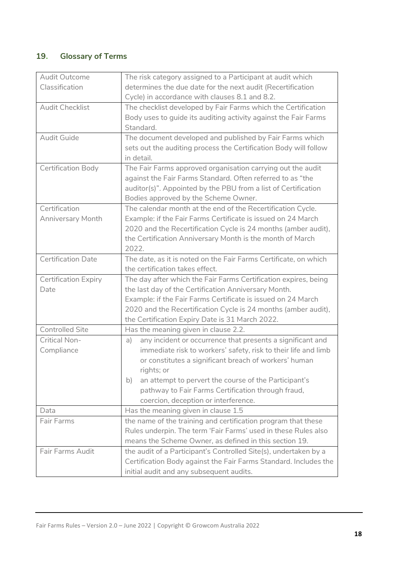# <span id="page-17-0"></span>**19**. **Glossary of Terms**

| Audit Outcome               | The risk category assigned to a Participant at audit which            |
|-----------------------------|-----------------------------------------------------------------------|
| Classification              | determines the due date for the next audit (Recertification           |
|                             | Cycle) in accordance with clauses 8.1 and 8.2.                        |
| <b>Audit Checklist</b>      | The checklist developed by Fair Farms which the Certification         |
|                             | Body uses to guide its auditing activity against the Fair Farms       |
|                             | Standard.                                                             |
| <b>Audit Guide</b>          | The document developed and published by Fair Farms which              |
|                             | sets out the auditing process the Certification Body will follow      |
|                             | in detail.                                                            |
| Certification Body          | The Fair Farms approved organisation carrying out the audit           |
|                             | against the Fair Farms Standard. Often referred to as "the            |
|                             | auditor(s)". Appointed by the PBU from a list of Certification        |
|                             | Bodies approved by the Scheme Owner.                                  |
| Certification               | The calendar month at the end of the Recertification Cycle.           |
| <b>Anniversary Month</b>    | Example: if the Fair Farms Certificate is issued on 24 March          |
|                             | 2020 and the Recertification Cycle is 24 months (amber audit),        |
|                             | the Certification Anniversary Month is the month of March             |
|                             | 2022.                                                                 |
| <b>Certification Date</b>   | The date, as it is noted on the Fair Farms Certificate, on which      |
|                             | the certification takes effect.                                       |
| <b>Certification Expiry</b> | The day after which the Fair Farms Certification expires, being       |
| Date                        | the last day of the Certification Anniversary Month.                  |
|                             | Example: if the Fair Farms Certificate is issued on 24 March          |
|                             | 2020 and the Recertification Cycle is 24 months (amber audit),        |
|                             | the Certification Expiry Date is 31 March 2022.                       |
| <b>Controlled Site</b>      | Has the meaning given in clause 2.2.                                  |
| <b>Critical Non-</b>        | any incident or occurrence that presents a significant and<br>a)      |
| Compliance                  | immediate risk to workers' safety, risk to their life and limb        |
|                             | or constitutes a significant breach of workers' human                 |
|                             | rights; or                                                            |
|                             | an attempt to pervert the course of the Participant's<br>$\mathsf{b}$ |
|                             | pathway to Fair Farms Certification through fraud,                    |
|                             | coercion, deception or interference.                                  |
| Data                        | Has the meaning given in clause 1.5                                   |
| Fair Farms                  | the name of the training and certification program that these         |
|                             | Rules underpin. The term 'Fair Farms' used in these Rules also        |
|                             | means the Scheme Owner, as defined in this section 19.                |
| Fair Farms Audit            | the audit of a Participant's Controlled Site(s), undertaken by a      |
|                             | Certification Body against the Fair Farms Standard. Includes the      |
|                             | initial audit and any subsequent audits.                              |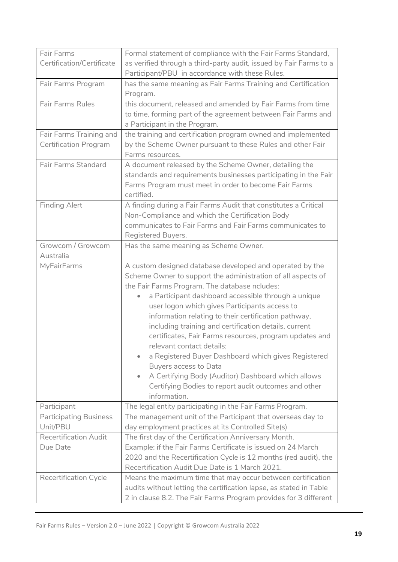| Fair Farms                    | Formal statement of compliance with the Fair Farms Standard,       |
|-------------------------------|--------------------------------------------------------------------|
| Certification/Certificate     | as verified through a third-party audit, issued by Fair Farms to a |
|                               | Participant/PBU in accordance with these Rules.                    |
|                               |                                                                    |
| Fair Farms Program            | has the same meaning as Fair Farms Training and Certification      |
|                               | Program.                                                           |
| <b>Fair Farms Rules</b>       | this document, released and amended by Fair Farms from time        |
|                               | to time, forming part of the agreement between Fair Farms and      |
|                               | a Participant in the Program.                                      |
| Fair Farms Training and       | the training and certification program owned and implemented       |
| <b>Certification Program</b>  | by the Scheme Owner pursuant to these Rules and other Fair         |
|                               | Farms resources.                                                   |
| <b>Fair Farms Standard</b>    | A document released by the Scheme Owner, detailing the             |
|                               | standards and requirements businesses participating in the Fair    |
|                               | Farms Program must meet in order to become Fair Farms              |
|                               | certified.                                                         |
| <b>Finding Alert</b>          | A finding during a Fair Farms Audit that constitutes a Critical    |
|                               | Non-Compliance and which the Certification Body                    |
|                               | communicates to Fair Farms and Fair Farms communicates to          |
|                               | Registered Buyers.                                                 |
| Growcom / Growcom             | Has the same meaning as Scheme Owner.                              |
| Australia                     |                                                                    |
| <b>MyFairFarms</b>            | A custom designed database developed and operated by the           |
|                               | Scheme Owner to support the administration of all aspects of       |
|                               |                                                                    |
|                               | the Fair Farms Program. The database ncludes:                      |
|                               | a Participant dashboard accessible through a unique<br>۰           |
|                               | user logon which gives Participants access to                      |
|                               | information relating to their certification pathway,               |
|                               | including training and certification details, current              |
|                               | certificates, Fair Farms resources, program updates and            |
|                               | relevant contact details;                                          |
|                               | a Registered Buyer Dashboard which gives Registered                |
|                               | Buyers access to Data                                              |
|                               | A Certifying Body (Auditor) Dashboard which allows<br>۰            |
|                               | Certifying Bodies to report audit outcomes and other               |
|                               | information.                                                       |
| Participant                   | The legal entity participating in the Fair Farms Program.          |
| <b>Participating Business</b> | The management unit of the Participant that overseas day to        |
| Unit/PBU                      | day employment practices at its Controlled Site(s)                 |
| <b>Recertification Audit</b>  | The first day of the Certification Anniversary Month.              |
| Due Date                      | Example: if the Fair Farms Certificate is issued on 24 March       |
|                               | 2020 and the Recertification Cycle is 12 months (red audit), the   |
|                               | Recertification Audit Due Date is 1 March 2021.                    |
| <b>Recertification Cycle</b>  | Means the maximum time that may occur between certification        |
|                               | audits without letting the certification lapse, as stated in Table |
|                               | 2 in clause 8.2. The Fair Farms Program provides for 3 different   |
|                               |                                                                    |